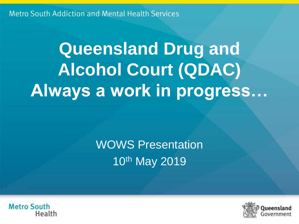# **Queensland Drug and Alcohol Court (QDAC) Always a work in progress…**

## WOWS Presentation 10th May 2019



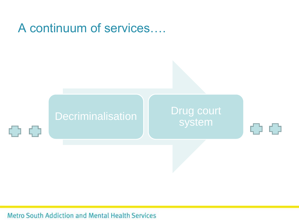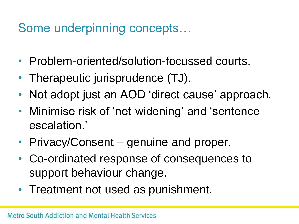### Some underpinning concepts…

- Problem-oriented/solution-focussed courts.
- Therapeutic jurisprudence (TJ).
- Not adopt just an AOD 'direct cause' approach.
- Minimise risk of 'net-widening' and 'sentence escalation.'
- Privacy/Consent genuine and proper.
- Co-ordinated response of consequences to support behaviour change.
- Treatment not used as punishment.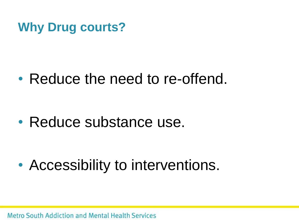### **Why Drug courts?**

# • Reduce the need to re-offend.

# • Reduce substance use.

• Accessibility to interventions.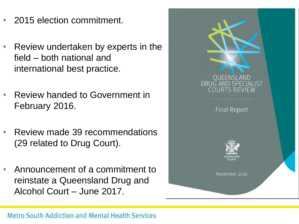- 2015 election commitment.
- Review undertaken by experts in the field – both national and international best practice.
- Review handed to Government in February 2016.
- Review made 39 recommendations (29 related to Drug Court).
- Announcement of a commitment to reinstate a Queensland Drug and Alcohol Court – June 2017.

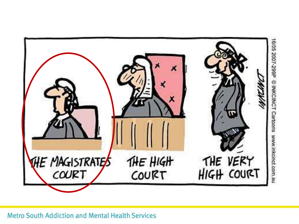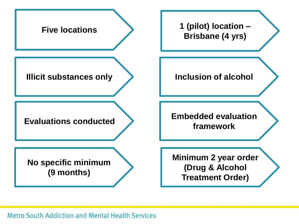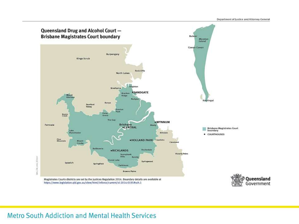

Magistrates Courts districts are set by the Justices Regulation 2014. Boundary details are available at https://www.legislation.qld.gov.au/view/html/inforce/current/sl-2014-0191#sch.1

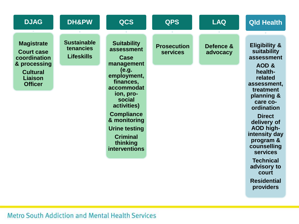| <b>DJAG</b>                                                                                                            | DH&PW                                                | <b>QCS</b>                                                                                                                                                                                                                                                   | <b>QPS</b>                            | <b>LAQ</b>            | <b>Qld Health</b>                                                                                                                                                                                                                                                                                               |
|------------------------------------------------------------------------------------------------------------------------|------------------------------------------------------|--------------------------------------------------------------------------------------------------------------------------------------------------------------------------------------------------------------------------------------------------------------|---------------------------------------|-----------------------|-----------------------------------------------------------------------------------------------------------------------------------------------------------------------------------------------------------------------------------------------------------------------------------------------------------------|
| <b>Magistrate</b><br><b>Court case</b><br>coordination<br>& processing<br><b>Cultural</b><br>Liaison<br><b>Officer</b> | <b>Sustainable</b><br>tenancies<br><b>Lifeskills</b> | <b>Suitability</b><br>assessment<br>Case<br>management<br>(e.g.<br>employment,<br>finances,<br>accommodat<br>ion, pro-<br>social<br>activities)<br><b>Compliance</b><br>& monitoring<br><b>Urine testing</b><br><b>Criminal</b><br>thinking<br>interventions | <b>Prosecution</b><br><b>services</b> | Defence &<br>advocacy | <b>Eligibility &amp;</b><br>suitability<br>assessment<br>AOD &<br>health-<br>related<br>assessment,<br>treatment<br>planning &<br>care co-<br>ordination<br><b>Direct</b><br>delivery of<br><b>AOD high-</b><br>intensity day<br>program &<br>counselling<br><b>services</b><br><b>Technical</b><br>advisory to |
|                                                                                                                        |                                                      |                                                                                                                                                                                                                                                              |                                       |                       | court                                                                                                                                                                                                                                                                                                           |

**Residential providers**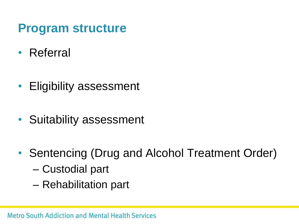### **Program structure**

- Referral
- Eligibility assessment
- Suitability assessment
- Sentencing (Drug and Alcohol Treatment Order)
	- Custodial part
	- Rehabilitation part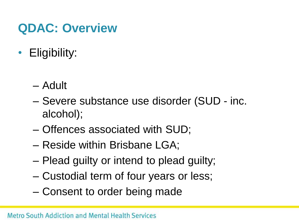### **QDAC: Overview**

- Eligibility:
	- Adult
	- Severe substance use disorder (SUD inc. alcohol);
	- Offences associated with SUD;
	- Reside within Brisbane LGA;
	- Plead guilty or intend to plead guilty;
	- Custodial term of four years or less;
	- Consent to order being made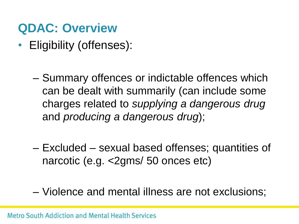### **QDAC: Overview**

- Eligibility (offenses):
	- Summary offences or indictable offences which can be dealt with summarily (can include some charges related to *supplying a dangerous drug* and *producing a dangerous drug*);
	- Excluded sexual based offenses; quantities of narcotic (e.g. <2gms/ 50 onces etc)
	- Violence and mental illness are not exclusions;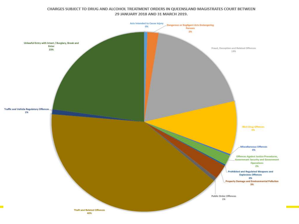#### CHARGES SUBJECT TO DRUG AND ALCOHOL TREATMENT ORDERS IN QUEENSLAND MAGISTRATES COURT BETWEEN 29 JANUARY 2018 AND 31 MARCH 2019.

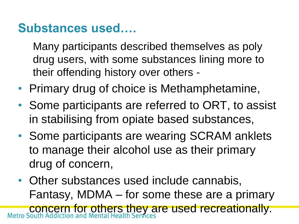### **Substances used….**

Many participants described themselves as poly drug users, with some substances lining more to their offending history over others -

- Primary drug of choice is Methamphetamine,
- Some participants are referred to ORT, to assist in stabilising from opiate based substances,
- Some participants are wearing SCRAM anklets to manage their alcohol use as their primary drug of concern,
- Other substances used include cannabis, Fantasy, MDMA – for some these are a primary concern for others they are used recreationally.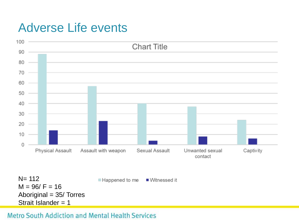### Adverse Life events

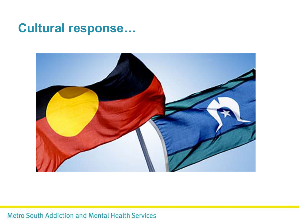### **Cultural response...**